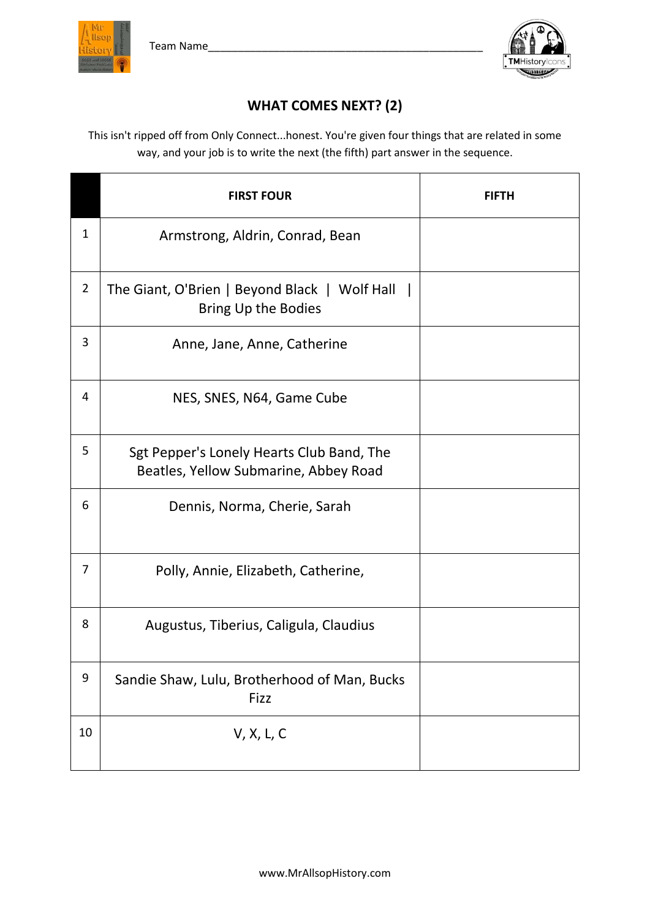



## **WHAT COMES NEXT? (2)**

This isn't ripped off from Only Connect...honest. You're given four things that are related in some way, and your job is to write the next (the fifth) part answer in the sequence.

|                | <b>FIRST FOUR</b>                                                                  | FIFTH |
|----------------|------------------------------------------------------------------------------------|-------|
| 1              | Armstrong, Aldrin, Conrad, Bean                                                    |       |
| $\overline{2}$ | The Giant, O'Brien   Beyond Black   Wolf Hall<br>Bring Up the Bodies               |       |
| 3              | Anne, Jane, Anne, Catherine                                                        |       |
| 4              | NES, SNES, N64, Game Cube                                                          |       |
| 5              | Sgt Pepper's Lonely Hearts Club Band, The<br>Beatles, Yellow Submarine, Abbey Road |       |
| 6              | Dennis, Norma, Cherie, Sarah                                                       |       |
| 7              | Polly, Annie, Elizabeth, Catherine,                                                |       |
| 8              | Augustus, Tiberius, Caligula, Claudius                                             |       |
| 9              | Sandie Shaw, Lulu, Brotherhood of Man, Bucks<br>Fizz                               |       |
| 10             | V, X, L, C                                                                         |       |